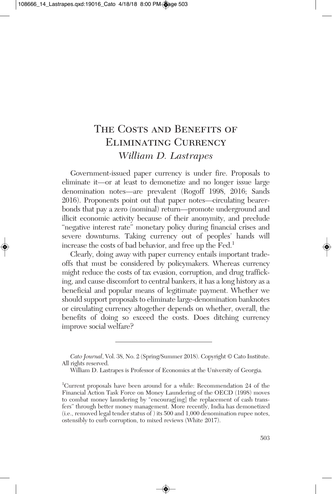# THE COSTS AND BENEFITS OF Eliminating Currency *William D. Lastrapes*

Government-issued paper currency is under fire. Proposals to eliminate it—or at least to demonetize and no longer issue large denomination notes—are prevalent (Rogoff 1998, 2016; Sands 2016). Proponents point out that paper notes—circulating bearerbonds that pay a zero (nominal) return—promote underground and illicit economic activity because of their anonymity, and preclude "negative interest rate" monetary policy during financial crises and severe downturns. Taking currency out of peoples' hands will increase the costs of bad behavior, and free up the Fed. 1

Clearly, doing away with paper currency entails important tradeoffs that must be considered by policymakers. Whereas currency might reduce the costs of tax evasion, corruption, and drug trafficking, and cause discomfort to central bankers, it has a long history as a beneficial and popular means of legitimate payment. Whether we should support proposals to eliminate large-denomination banknotes or circulating currency altogether depends on whether, overall, the benefits of doing so exceed the costs. Does ditching currency improve social welfare?

*Cato Journal*, Vol. 38, No. 2 (Spring/Summer 2018). Copyright © Cato Institute. All rights reserved.

William D. Lastrapes is Professor of Economics at the University of Georgia.

<sup>1</sup> Current proposals have been around for a while: Recommendation 24 of the Financial Action Task Force on Money Laundering of the OECD (1998) moves to combat money laundering by "encourag[ing] the replacement of cash transfers" through better money management. More recently, India has demonetized (i.e., removed legal tender status of ) its 500 and 1,000 denomination rupee notes, ostensibly to curb corruption, to mixed reviews (White 2017).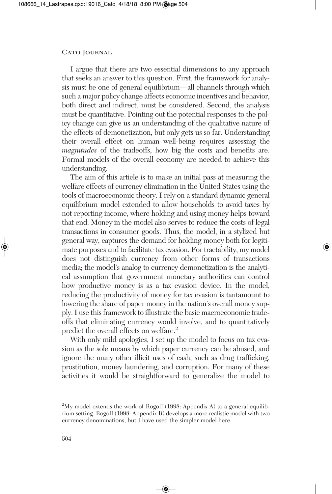I argue that there are two essential dimensions to any approach that seeks an answer to this question. First, the framework for analysis must be one of general equilibrium—all channels through which such a major policy change affects economic incentives and behavior, both direct and indirect, must be considered. Second, the analysis must be quantitative. Pointing out the potential responses to the policy change can give us an understanding of the qualitative nature of the effects of demonetization, but only gets us so far. Understanding their overall effect on human well-being requires assessing the *magnitudes* of the tradeoffs, how big the costs and benefits are. Formal models of the overall economy are needed to achieve this understanding.

The aim of this article is to make an initial pass at measuring the welfare effects of currency elimination in the United States using the tools of macroeconomic theory. I rely on a standard dynamic general equilibrium model extended to allow households to avoid taxes by not reporting income, where holding and using money helps toward that end. Money in the model also serves to reduce the costs of legal transactions in consumer goods. Thus, the model, in a stylized but general way, captures the demand for holding money both for legitimate purposes and to facilitate tax evasion. For tractability, my model does not distinguish currency from other forms of transactions media; the model's analog to currency demonetization is the analytical assumption that government monetary authorities can control how productive money is as a tax evasion device. In the model, reducing the productivity of money for tax evasion is tantamount to lowering the share of paper money in the nation's overall money supply.I use this framework to illustrate the basic macroeconomic tradeoffs that eliminating currency would involve, and to quantitatively predict the overall effects on welfare. 2

With only mild apologies, I set up the model to focus on tax evasion as the sole means by which paper currency can be abused, and ignore the many other illicit uses of cash, such as drug trafficking, prostitution, money laundering, and corruption. For many of these activities it would be straightforward to generalize the model to

<sup>&</sup>lt;sup>2</sup>My model extends the work of Rogoff (1998: Appendix A) to a general equilibrium setting. Rogoff (1998: Appendix B) develops a more realistic model with two currency denominations, but I have used the simpler model here.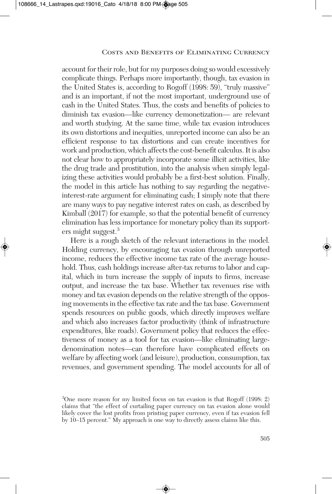account for their role, but for my purposes doing so would excessively complicate things. Perhaps more importantly, though, tax evasion in the United States is, according to Rogoff (1998: 59), "truly massive" and is an important, if not the most important, underground use of cash in the United States. Thus, the costs and benefits of policies to diminish tax evasion—like currency demonetization— are relevant and worth studying. At the same time, while tax evasion introduces its own distortions and inequities, unreported income can also be an efficient response to tax distortions and can create incentives for work and production, which affects the cost-benefit calculus. It is also not clear how to appropriately incorporate some illicit activities, like the drug trade and prostitution, into the analysis when simply legalizing these activities would probably be a first-best solution. Finally, the model in this article has nothing to say regarding the negativeinterest-rate argument for eliminating cash; I simply note that there are many ways to pay negative interest rates on cash, as described by Kimball (2017) for example, so that the potential benefit of currency elimination has less importance for monetary policy than its supporters might suggest. 3

Here is a rough sketch of the relevant interactions in the model. Holding currency, by encouraging tax evasion through unreported income, reduces the effective income tax rate of the average household. Thus, cash holdings increase after-tax returns to labor and capital, which in turn increase the supply of inputs to firms, increase output, and increase the tax base. Whether tax revenues rise with money and tax evasion depends on the relative strength of the opposing movements in the effective tax rate and the tax base. Government spends resources on public goods, which directly improves welfare and which also increases factor productivity (think of infrastructure expenditures, like roads). Government policy that reduces the effectiveness of money as a tool for tax evasion—like eliminating largedenomination notes—can therefore have complicated effects on welfare by affecting work (and leisure), production, consumption, tax revenues, and government spending. The model accounts for all of

<sup>3</sup> One more reason for my limited focus on tax evasion is that Rogoff (1998: 2) claims that "the effect of curtailing paper currency on tax evasion alone would likely cover the lost profits from printing paper currency, even if tax evasion fell by 10–15 percent." My approach is one way to directly assess claims like this.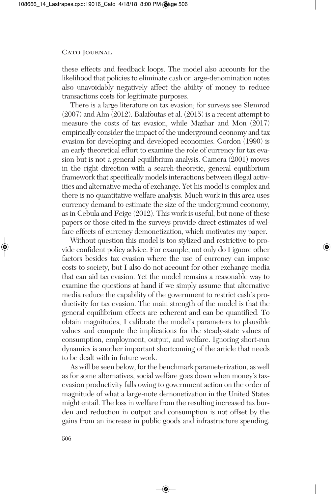these effects and feedback loops. The model also accounts for the likelihood that policies to eliminate cash or large-denomination notes also unavoidably negatively affect the ability of money to reduce transactions costs for legitimate purposes.

There is a large literature on tax evasion; for surveys see Slemrod (2007) and Alm (2012). Balafoutas et al. (2015) is a recent attempt to measure the costs of tax evasion, while Mazhar and Mon (2017) empirically consider the impact of the underground economy and tax evasion for developing and developed economies. Gordon (1990) is an early theoretical effort to examine the role of currency for tax evasion but is not a general equilibrium analysis. Camera (2001) moves in the right direction with a search-theoretic, general equilibrium framework that specifically models interactions between illegal activities and alternative media of exchange. Yet his model is complex and there is no quantitative welfare analysis. Much work in this area uses currency demand to estimate the size of the underground economy, as in Cebula and Feige (2012). This work is useful, but none of these papers or those cited in the surveys provide direct estimates of welfare effects of currency demonetization, which motivates my paper.

Without question this model is too stylized and restrictive to provide confident policy advice. For example, not only do I ignore other factors besides tax evasion where the use of currency can impose costs to society, but I also do not account for other exchange media that can aid tax evasion. Yet the model remains a reasonable way to examine the questions at hand if we simply assume that alternative media reduce the capability of the government to restrict cash's productivity for tax evasion. The main strength of the model is that the general equilibrium effects are coherent and can be quantified. To obtain magnitudes, I calibrate the model's parameters to plausible values and compute the implications for the steady-state values of consumption, employment, output, and welfare. Ignoring short-run dynamics is another important shortcoming of the article that needs to be dealt with in future work.

As will be seen below, for the benchmark parameterization, as well as for some alternatives, social welfare goes down when money's taxevasion productivity falls owing to government action on the order of magnitude of what a large-note demonetization in the United States might entail. The loss in welfare from the resulting increased tax burden and reduction in output and consumption is not offset by the gains from an increase in public goods and infrastructure spending.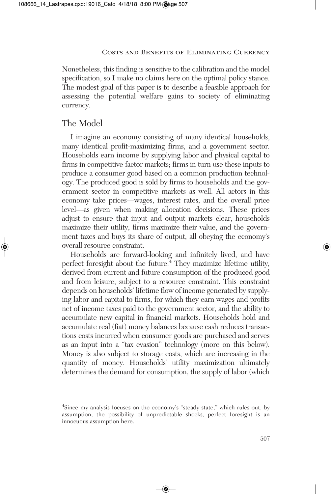Nonetheless, this finding is sensitive to the calibration and the model specification, so I make no claims here on the optimal policy stance. The modest goal of this paper is to describe a feasible approach for assessing the potential welfare gains to society of eliminating currency.

# The Model

I imagine an economy consisting of many identical households, many identical profit-maximizing firms, and a government sector. Households earn income by supplying labor and physical capital to firms in competitive factor markets; firms in turn use these inputs to produce a consumer good based on a common production technology. The produced good is sold by firms to households and the government sector in competitive markets as well. All actors in this economy take prices—wages, interest rates, and the overall price level—as given when making allocation decisions. These prices adjust to ensure that input and output markets clear, households maximize their utility, firms maximize their value, and the government taxes and buys its share of output, all obeying the economy's overall resource constraint.

Households are forward-looking and infinitely lived, and have perfect foresight about the future.<sup>4</sup> They maximize lifetime utility, derived from current and future consumption of the produced good and from leisure, subject to a resource constraint. This constraint depends on households' lifetime flow of income generated by supplying labor and capital to firms, for which they earn wages and profits net of income taxes paid to the government sector, and the ability to accumulate new capital in financial markets. Households hold and accumulate real (fiat) money balances because cash reduces transactions costs incurred when consumer goods are purchased and serves as an input into a "tax evasion" technology (more on this below). Money is also subject to storage costs, which are increasing in the quantity of money. Households' utility maximization ultimately determines the demand for consumption, the supply of labor (which

<sup>&</sup>lt;sup>4</sup>Since my analysis focuses on the economy's "steady state," which rules out, by assumption, the possibility of unpredictable shocks, perfect foresight is an innocuous assumption here.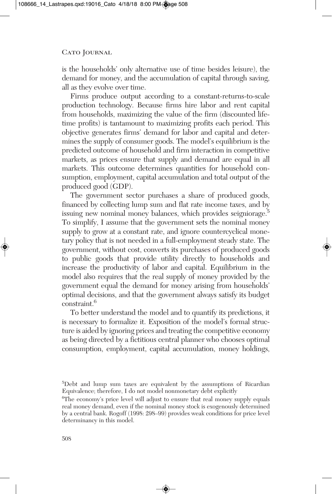is the households' only alternative use of time besides leisure), the demand for money, and the accumulation of capital through saving, all as they evolve over time.

Firms produce output according to a constant-returns-to-scale production technology. Because firms hire labor and rent capital from households, maximizing the value of the firm (discounted lifetime profits) is tantamount to maximizing profits each period. This objective generates firms' demand for labor and capital and determines the supply of consumer goods. The model's equilibrium is the predicted outcome of household and firm interaction in competitive markets, as prices ensure that supply and demand are equal in all markets. This outcome determines quantities for household consumption, employment, capital accumulation and total output of the produced good (GDP).

The government sector purchases a share of produced goods, financed by collecting lump sum and flat rate income taxes, and by issuing new nominal money balances, which provides seigniorage.<sup>5</sup> To simplify, I assume that the government sets the nominal money supply to grow at a constant rate, and ignore countercyclical monetary policy that is not needed in a full-employment steady state. The government, without cost, converts its purchases of produced goods to public goods that provide utility directly to households and increase the productivity of labor and capital. Equilibrium in the model also requires that the real supply of money provided by the government equal the demand for money arising from households' optimal decisions, and that the government always satisfy its budget constraint. 6

To better understand the model and to quantify its predictions, it is necessary to formalize it. Exposition of the model's formal structure is aided by ignoring prices and treating the competitive economy as being directed by a fictitious central planner who chooses optimal consumption, employment, capital accumulation, money holdings,

<sup>5</sup> Debt and lump sum taxes are equivalent by the assumptions of Ricardian Equivalence; therefore, I do not model nonmonetary debt explicitly

<sup>&</sup>lt;sup>6</sup>The economy's price level will adjust to ensure that real money supply equals real money demand, even if the nominal money stock is exogenously determined by a central bank. Rogoff (1998: 298–99) provides weak conditions for price level determinancy in this model.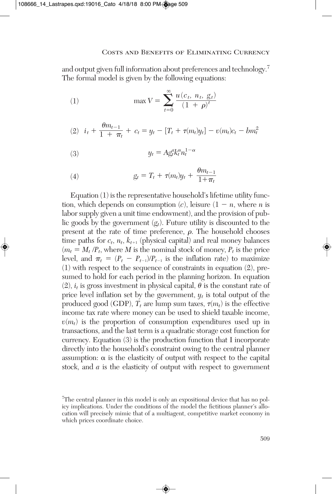and output given full information about preferences and technology. 7 The formal model is given by the following equations:

(1) 
$$
\max V = \sum_{t=0}^{\infty} \frac{u(c_t, n_t, g_t)}{(1 + \rho)^t}
$$

(2) 
$$
i_t + \frac{\theta m_{t-1}}{1 + \pi_t} + c_t = y_t - [T_t + \tau(m_t)y_t] - v(m_t)c_t - bm_t^2
$$

$$
(3) \t\t y_t = A g_t^a k_t^{\alpha} n_t^{1-\alpha}
$$

(4) 
$$
g_t = T_t + \tau(m_t)y_t + \frac{\theta m_{t-1}}{1 + \pi_t}
$$

Equation (1) is the representative household's lifetime utility function, which depends on consumption  $(c)$ , leisure  $(1 - n$ , where *n* is labor supply given a unit time endowment), and the provision of public goods by the government  $(g_t)$ . Future utility is discounted to the present at the rate of time preference,  $\rho$ . The household chooses time paths for  $c_t$ ,  $n_t$ ,  $k_{t+1}$  (physical capital) and real money balances  $(m_t = M_t/P_t)$ , where *M* is the nominal stock of money,  $P_t$  is the price level, and  $\pi_t = (P_t - P_{t-1})/P_{t-1}$  is the inflation rate) to maximize (1) with respect to the sequence of constraints in equation (2), presumed to hold for each period in the planning horizon. In equation  $(2)$ ,  $i_t$  is gross investment in physical capital,  $\theta$  is the constant rate of price level inflation set by the government,  $y_t$  is total output of the produced good (GDP),  $T_t$  are lump sum taxes,  $\tau(m_t)$  is the effective income tax rate where money can be used to shield taxable income,  $v(m_t)$  is the proportion of consumption expenditures used up in transactions, and the last term is a quadratic storage cost function for currency. Equation (3) is the production function that I incorporate directly into the household's constraint owing to the central planner assumption:  $\alpha$  is the elasticity of output with respect to the capital stock, and *a* is the elasticity of output with respect to government

<sup>7</sup> The central planner in this model is only an expositional device that has no policy implications. Under the conditions of the model the fictitious planner's allocation will precisely mimic that of a multiagent, competitive market economy in which prices coordinate choice.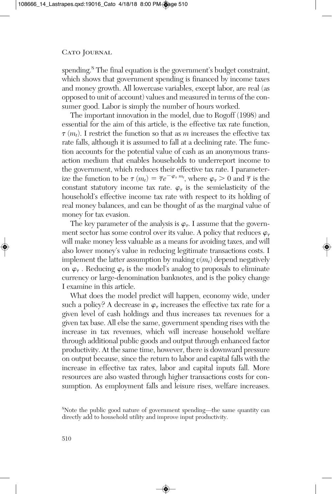spending. <sup>8</sup> The final equation is the government's budget constraint, which shows that government spending is financed by income taxes and money growth. All lowercase variables, except labor, are real (as opposed to unit of account) values and measured in terms of the consumer good. Labor is simply the number of hours worked.

The important innovation in the model, due to Rogoff (1998) and essential for the aim of this article, is the effective tax rate function,  $\tau(m_t)$ . I restrict the function so that as *m* increases the effective tax rate falls, although it is assumed to fall at a declining rate. The function accounts for the potential value of cash as an anonymous transaction medium that enables households to underreport income to the government, which reduces their effective tax rate. I parameterize the function to be  $\tau(m_t) = \overline{\tau}e^{-\varphi_\tau m_t}$ , where  $\varphi_\tau > 0$  and  $\overline{\tau}$  is the constant statutory income tax rate.  $\varphi_{\tau}$  is the semielasticity of the household's effective income tax rate with respect to its holding of real money balances, and can be thought of as the marginal value of money for tax evasion.

The key parameter of the analysis is  $\varphi_{\tau}$ . I assume that the government sector has some control over its value. A policy that reduces  $\varphi_{\tau}$ will make money less valuable as a means for avoiding taxes, and will also lower money's value in reducing legitimate transactions costs. I implement the latter assumption by making  $v(m_t)$  depend negatively on  $\varphi_{\tau}$ . Reducing  $\varphi_{\tau}$  is the model's analog to proposals to eliminate currency or large-denomination banknotes, and is the policy change I examine in this article.

What does the model predict will happen, economy wide, under such a policy? A decrease in  $\varphi_{\tau}$  increases the effective tax rate for a given level of cash holdings and thus increases tax revenues for a given tax base. All else the same, government spending rises with the increase in tax revenues, which will increase household welfare through additional public goods and output through enhanced factor productivity. At the same time, however, there is downward pressure on output because, since the return to labor and capital falls with the increase in effective tax rates, labor and capital inputs fall. More resources are also wasted through higher transactions costs for consumption. As employment falls and leisure rises, welfare increases.

<sup>8</sup> Note the public good nature of government spending—the same quantity can directly add to household utility and improve input productivity.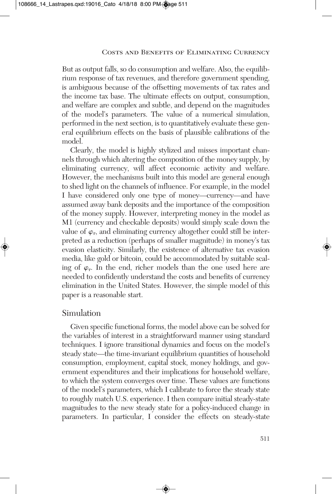But as output falls, so do consumption and welfare. Also, the equilibrium response of tax revenues, and therefore government spending, is ambiguous because of the offsetting movements of tax rates and the income tax base. The ultimate effects on output, consumption, and welfare are complex and subtle, and depend on the magnitudes of the model's parameters. The value of a numerical simulation, performed in the next section, is to quantitatively evaluate these general equilibrium effects on the basis of plausible calibrations of the model.

Clearly, the model is highly stylized and misses important channels through which altering the composition of the money supply, by eliminating currency, will affect economic activity and welfare. However, the mechanisms built into this model are general enough to shed light on the channels of influence. For example, in the model I have considered only one type of money—currency—and have assumed away bank deposits and the importance of the composition of the money supply. However, interpreting money in the model as M1 (currency and checkable deposits) would simply scale down the value of  $\varphi_{\tau}$ , and eliminating currency altogether could still be interpreted as a reduction (perhaps of smaller magnitude) in money's tax evasion elasticity. Similarly, the existence of alternative tax evasion media, like gold or bitcoin, could be accommodated by suitable scaling of  $\varphi_{\tau}$ . In the end, richer models than the one used here are needed to confidently understand the costs and benefits of currency elimination in the United States. However, the simple model of this paper is a reasonable start.

## Simulation

Given specific functional forms, the model above can be solved for the variables of interest in a straightforward manner using standard techniques. I ignore transitional dynamics and focus on the model's steady state—the time-invariant equilibrium quantities of household consumption, employment, capital stock, money holdings, and government expenditures and their implications for household welfare, to which the system converges over time. These values are functions of the model's parameters, which I calibrate to force the steady state to roughly match U.S. experience. I then compare initial steady-state magnitudes to the new steady state for a policy-induced change in parameters. In particular, I consider the effects on steady-state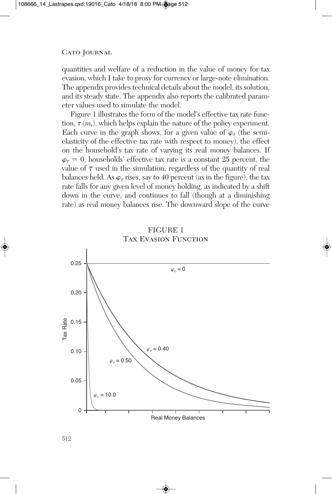quantities and welfare of a reduction in the value of money for tax evasion, which I take to proxy for currency or large-note elimination. The appendix provides technical details about the model, its solution, and its steady state. The appendix also reports the calibrated parameter values used to simulate the model.

Figure 1 illustrates the form of the model's effective tax rate function,  $\tau(m_t)$ , which helps explain the nature of the policy experiment. Each curve in the graph shows, for a given value of  $\varphi_{\tau}$  (the semi elasticity of the effective tax rate with respect to money), the effect on the household's tax rate of varying its real money balances. If  $\varphi_{\tau} = 0$ , households' effective tax rate is a constant 25 percent, the value of  $\bar{\tau}$  used in the simulation, regardless of the quantity of real balances held. As  $\varphi_{\tau}$  rises, say to 40 percent (as in the figure), the tax rate falls for any given level of money holding, as indicated by a shift down in the curve, and continues to fall (though at a diminishing rate) as real money balances rise. The downward slope of the curve





512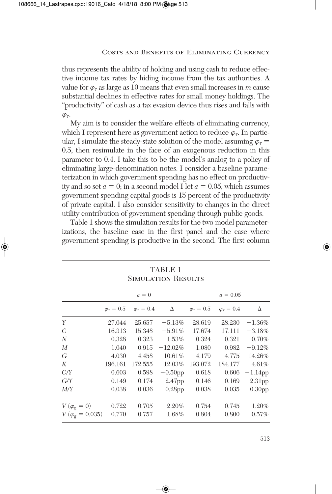thus represents the ability of holding and using cash to reduce effective income tax rates by hiding income from the tax authorities. A value for  $\varphi_{\tau}$  as large as 10 means that even small increases in *m* cause substantial declines in effective rates for small money holdings. The "productivity" of cash as a tax evasion device thus rises and falls with  $\varphi_{\tau}$ .

My aim is to consider the welfare effects of eliminating currency, which I represent here as government action to reduce  $\varphi_{\tau}$ . In particular, I simulate the steady-state solution of the model assuming  $\varphi_{\tau}$  = 0.5, then resimulate in the face of an exogenous reduction in this parameter to 0.4. I take this to be the model's analog to a policy of eliminating large-denomination notes. I consider a baseline parameterization in which government spending has no effect on productivity and so set  $a = 0$ ; in a second model I let  $a = 0.05$ , which assumes government spending capital goods is 15 percent of the productivity of private capital. I also consider sensitivity to changes in the direct utility contribution of government spending through public goods.

Table 1 shows the simulation results for the two model parameterizations, the baseline case in the first panel and the case where government spending is productive in the second. The first column

| <b>SIMULATION RESULTS</b>  |         |                                                                |            |         |                                               |            |  |  |
|----------------------------|---------|----------------------------------------------------------------|------------|---------|-----------------------------------------------|------------|--|--|
|                            |         | $a=0$                                                          |            |         | $a = 0.05$                                    |            |  |  |
|                            |         | $\varphi_{\tau} = 0.5 \quad \varphi_{\tau} = 0.4 \quad \Delta$ |            |         | $\varphi_{\tau} = 0.5$ $\varphi_{\tau} = 0.4$ | Δ          |  |  |
| Y                          | 27.044  | 25.657                                                         | $-5.13%$   | 28.619  | 28.230                                        | $-1.36\%$  |  |  |
| $\mathcal C$               | 16.313  | 15.348                                                         | $-5.91\%$  | 17.674  | 17.111                                        | $-3.18\%$  |  |  |
| N                          | 0.328   | 0.323                                                          | $-1.53\%$  | 0.324   | 0.321                                         | $-0.70%$   |  |  |
| M                          | 1.040   | 0.915                                                          | $-12.02%$  | 1.080   | 0.982                                         | $-9.12%$   |  |  |
| G                          | 4.030   | 4.458                                                          | 10.61%     | 4.179   | 4.775                                         | 14.26%     |  |  |
| K                          | 196.161 | 172.555                                                        | $-12.03%$  | 193.072 | 184.177                                       | $-4.61\%$  |  |  |
| C/Y                        | 0.603   | 0.598                                                          | $-0.50$ pp | 0.618   | 0.606                                         | $-1.14$ pp |  |  |
| G/Y                        | 0.149   | 0.174                                                          | 2.47pp     | 0.146   | 0.169                                         | $2.31$ pp  |  |  |
| M/Y                        | 0.038   | 0.036                                                          | $-0.28$ pp | 0.038   | 0.035                                         | $-0.30$ pp |  |  |
|                            |         |                                                                |            |         |                                               |            |  |  |
| $V(\varphi_{\rm g}=0)$     | 0.722   | 0.705                                                          | $-2.20%$   | 0.754   | 0.745                                         | $-1.20%$   |  |  |
| $V(\varphi_{\rm g}=0.035)$ | 0.770   | 0.757                                                          | $-1.68\%$  | 0.804   | 0.800                                         | $-0.57\%$  |  |  |

# TABLE 1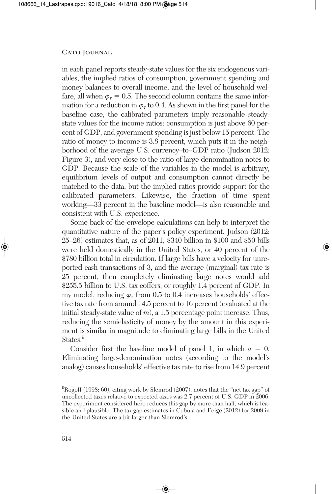in each panel reports steady-state values for the six endogenous variables, the implied ratios of consumption, government spending and money balances to overall income, and the level of household welfare, all when  $\varphi_{\tau} = 0.5$ . The second column contains the same information for a reduction in  $\varphi_{\tau}$  to 0.4. As shown in the first panel for the baseline case, the calibrated parameters imply reasonable steadystate values for the income ratios: consumption is just above 60 percent of GDP, and government spending is just below 15 percent. The ratio of money to income is 3.8 percent, which puts it in the neighborhood of the average U.S. currency–to–GDP ratio (Judson 2012: Figure 3), and very close to the ratio of large denomination notes to GDP. Because the scale of the variables in the model is arbitrary, equilibrium levels of output and consumption cannot directly be matched to the data, but the implied ratios provide support for the calibrated parameters. Likewise, the fraction of time spent working—33 percent in the baseline model—is also reasonable and consistent with U.S. experience.

Some back-of-the-envelope calculations can help to interpret the quantitative nature of the paper's policy experiment. Judson (2012: 25–26) estimates that, as of 2011, \$340 billion in \$100 and \$50 bills were held domestically in the United States, or 40 percent of the \$780 billion total in circulation. If large bills have a velocity for unreported cash transactions of 3, and the average (marginal) tax rate is 25 percent, then completely eliminating large notes would add \$255.5 billion to U.S. tax coffers, or roughly 1.4 percent of GDP. In my model, reducing  $\varphi_{\tau}$  from 0.5 to 0.4 increases households' effective tax rate from around 14.5 percent to 16 percent (evaluated at the initial steady-state value of *m*), a 1.5 percentage point increase. Thus, reducing the semielasticity of money by the amount in this experiment is similar in magnitude to eliminating large bills in the United States. 9

Consider first the baseline model of panel 1, in which  $a = 0$ . Eliminating large-denomination notes (according to the model's analog) causes households' effective tax rate to rise from 14.9 percent

<sup>9</sup> Rogoff (1998: 60), citing work by Slemrod (2007), notes that the "net tax gap" of uncollected taxes relative to expected taxes was 2.7 percent of U.S. GDP in 2006. The experiment considered here reduces this gap by more than half, which is feasible and plausible. The tax gap estimates in Cebula and Feige (2012) for 2009 in the United States are a bit larger than Slemrod's.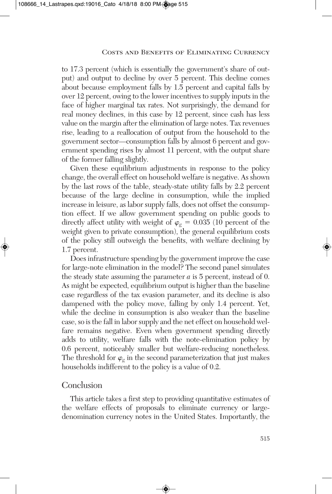to 17.3 percent (which is essentially the government's share of output) and output to decline by over 5 percent. This decline comes about because employment falls by 1.5 percent and capital falls by over 12 percent, owing to the lower incentives to supply inputs in the face of higher marginal tax rates. Not surprisingly, the demand for real money declines, in this case by 12 percent, since cash has less value on the margin after the elimination of large notes. Tax revenues rise, leading to a reallocation of output from the household to the government sector—consumption falls by almost 6 percent and government spending rises by almost 11 percent, with the output share of the former falling slightly.

Given these equilibrium adjustments in response to the policy change, the overall effect on household welfare is negative. As shown by the last rows of the table, steady-state utility falls by 2.2 percent because of the large decline in consumption, while the implied increase in leisure, as labor supply falls, does not offset the consumption effect. If we allow government spending on public goods to directly affect utility with weight of  $\varphi_{g} = 0.035$  (10 percent of the weight given to private consumption), the general equilibrium costs of the policy still outweigh the benefits, with welfare declining by 1.7 percent.

Does infrastructure spending by the government improve the case for large-note elimination in the model? The second panel simulates the steady state assuming the parameter *a* is 5 percent, instead of 0. As might be expected, equilibrium output is higher than the baseline case regardless of the tax evasion parameter, and its decline is also dampened with the policy move, falling by only 1.4 percent. Yet, while the decline in consumption is also weaker than the baseline case, so is the fall in labor supply and the net effect on household welfare remains negative. Even when government spending directly adds to utility, welfare falls with the note-elimination policy by 0.6 percent, noticeably smaller but welfare-reducing nonetheless. The threshold for  $\varphi_{\sigma}$  in the second parameterization that just makes households indifferent to the policy is a value of 0.2.

# **Conclusion**

This article takes a first step to providing quantitative estimates of the welfare effects of proposals to eliminate currency or largedenomination currency notes in the United States. Importantly, the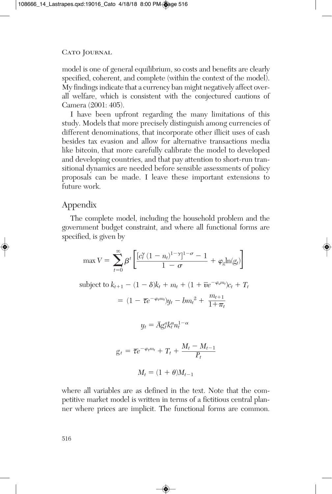model is one of general equilibrium, so costs and benefits are clearly specified, coherent, and complete (within the context of the model). My findings indicate that a currency ban might negatively affect overall welfare, which is consistent with the conjectured cautions of Camera (2001: 405).

I have been upfront regarding the many limitations of this study. Models that more precisely distinguish among currencies of different denominations, that incorporate other illicit uses of cash besides tax evasion and allow for alternative transactions media like bitcoin, that more carefully calibrate the model to developed and developing countries, and that pay attention to short-run transitional dynamics are needed before sensible assessments of policy proposals can be made. I leave these important extensions to future work.

# Appendix

The complete model, including the household problem and the government budget constraint, and where all functional forms are specified, is given by

$$
\max V = \sum_{t=0}^{\infty} \beta^t \left[ \frac{[c_t^{\gamma} (1 - n_t)^{1 - \gamma}]^{1 - \sigma} - 1}{1 - \sigma} + \varphi_g \ln(g_t) \right]
$$
  
subject to  $k_{t+1} - (1 - \delta)k_t + m_t + (1 + \overline{v}e^{-\varphi_r m_t})c_t + T_t$   

$$
= (1 - \overline{\tau}e^{-\varphi_r m_t})y_t - bm_t^2 + \frac{m_{t+1}}{1 + \pi_t}
$$
  

$$
y_t = \overline{A}g_t^a k_t^{\alpha} n_t^{1 - \alpha}
$$
  

$$
g_t = \overline{\tau}e^{-\varphi_r m_t} + T_t + \frac{M_t - M_{t-1}}{P_t}
$$
  

$$
M_t = (1 + \theta)M_{t-1}
$$

where all variables are as defined in the text. Note that the competitive market model is written in terms of a fictitious central planner where prices are implicit. The functional forms are common.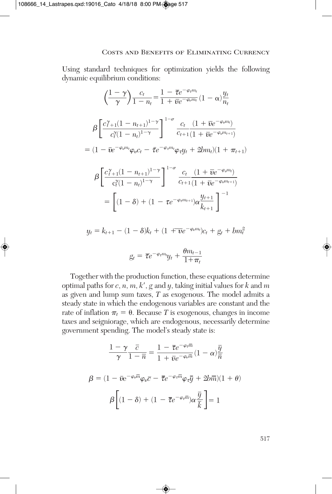Using standard techniques for optimization yields the following dynamic equilibrium conditions:

$$
\left(\frac{1-\gamma}{\gamma}\right) \frac{c_t}{1-n_t} = \frac{1-\overline{\tau}e^{-\varphi_t m_t}}{1+\overline{\nu}e^{-\varphi_v m_t}} (1-\alpha) \frac{y_t}{n_t}
$$

$$
\beta \left[ \frac{c_{t+1}^{\gamma}(1-n_{t+1})^{1-\gamma}}{c_t^{\gamma}(1-n_t)^{1-\gamma}} \right]^{1-\sigma} \frac{c_t}{c_{t+1}} \frac{(1+\overline{\nu}e^{-\varphi_v m_t})}{(1+\overline{\nu}e^{-\varphi_v m_{t+1}})}
$$

$$
= (1-\overline{\nu}e^{-\varphi_v m_t}\varphi_v c_t - \overline{\tau}e^{-\varphi_t m_t}\varphi_t y_t + 2bm_t)(1+\pi_{t+1})
$$

$$
\beta \left[ \frac{c_{t+1}^{\gamma}(1-n_{t+1})^{1-\gamma}}{c_t^{\gamma}(1-n_t)^{1-\gamma}} \right]^{1-\sigma} \frac{c_t}{c_{t+1}} \frac{(1+\overline{\nu}e^{-\varphi_v m_{t+1}})}{(1+\overline{\nu}e^{-\varphi_v m_{t+1}})}
$$

$$
= \left[ (1-\delta) + (1-\tau e^{-\varphi_t m_{t+1}})\alpha \frac{y_{t+1}}{k_{t+1}} \right]^{-1}
$$

$$
y_t = k_{t+1} - (1-\delta)k_t + (1+\overline{\nu}e^{-\varphi_v m_t})c_t + g_t + bm_t^2
$$

$$
g_t = \overline{\tau}e^{-\varphi_t m_t}y_t + \frac{\theta m_{t-1}}{1 + \pi_t}
$$

Together with the production function, these equations determine optimal paths for *c*, *n*, *m*, *k*, *g* and *y*, taking initial values for *k* and *m* as given and lump sum taxes, *T* as exogenous. The model admits a steady state in which the endogenous variables are constant and the rate of inflation  $\pi_t = \theta$ . Because *T* is exogenous, changes in income taxes and seigniorage, which are endogenous, necessarily determine government spending. The model's steady state is:

$$
\frac{1-\gamma}{\gamma}\frac{\bar{c}}{1-\bar{n}} = \frac{1-\bar{\tau}e^{-\varphi_{\tau}\bar{m}}}{1+\bar{\nu}e^{-\varphi_{\nu}\bar{m}}}(1-\alpha)\frac{\bar{y}}{\bar{n}}
$$

$$
\beta = (1-\bar{\nu}e^{-\varphi_{\nu}\bar{m}}\varphi_{\nu}\bar{c} - \bar{\tau}e^{-\varphi_{\tau}\bar{m}}\varphi_{\tau}\bar{y} + 2b\bar{m})(1+\theta)
$$

$$
\beta\left[(1-\delta) + (1-\bar{\tau}e^{-\varphi_{\tau}\bar{m}})\alpha\frac{\bar{y}}{\bar{k}}\right] = 1
$$

517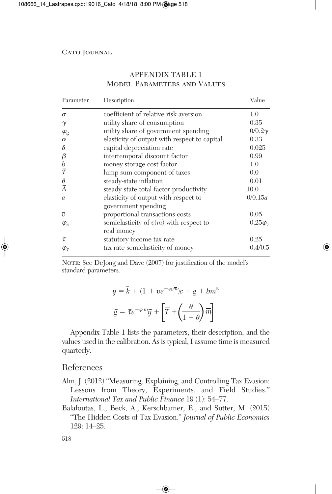| Parameter              | Description                                                 | Value                |
|------------------------|-------------------------------------------------------------|----------------------|
| $\sigma$               | coefficient of relative risk aversion                       | 1.0                  |
| $\gamma$               | utility share of consumption                                | 0.35                 |
| $\varphi_{\mathrm{g}}$ | utility share of government spending                        | $0/0.2\gamma$        |
| $\alpha$               | elasticity of output with respect to capital                | 0.33                 |
| $\delta$               | capital depreciation rate                                   | 0.025                |
| β                      | intertemporal discount factor                               | 0.99                 |
| $\boldsymbol{b}$       | money storage cost factor                                   | 1.0                  |
| $\overline{T}$         | lump sum component of taxes                                 | 0.0                  |
| $\theta$               | steady-state inflation                                      | 0.01                 |
| $\overline{A}$         | steady-state total factor productivity                      | 10.0                 |
| $\mathfrak{a}$         | elasticity of output with respect to<br>government spending | 0/0.15a              |
| $\overline{v}$         | proportional transactions costs                             | 0.05                 |
| $\varphi_v$            | semielasticity of $v(m)$ with respect to<br>real money      | $0.25\varphi_{\tau}$ |
| $\bar{\tau}$           | statutory income tax rate                                   | 0.25                 |
| $\varphi_\tau$         | tax rate semielasticity of money                            | 0.4/0.5              |

# APPENDIX TABLE 1 Model Parameters and Values

NOTE: See DeJong and Dave (2007) for justification of the model's standard parameters.

$$
\overline{y} = \overline{k} + (1 + \overline{v}e^{-\varphi_0 \overline{m}})\overline{c} + \overline{g} + b\overline{m}^2
$$

$$
\overline{g} = \overline{\tau}e^{-\varphi_0 \overline{m}}\overline{y} + \left[\overline{T} + \left(\frac{\theta}{1 + \theta}\right)\overline{m}\right]
$$

Appendix Table 1 lists the parameters, their description, and the values used in the calibration. As is typical, I assume time is measured quarterly.

## References

- Alm, J. (2012) "Measuring, Explaining, and Controlling Tax Evasion: Lessons from Theory, Experiments, and Field Studies." *International Tax and Public Finance* 19 (1): 54–77.
- Balafoutas, L.; Beck, A.; Kerschbamer, R.; and Sutter, M. (2015) "The Hidden Costs of Tax Evasion." *Journal of Public Economics* 129: 14–25.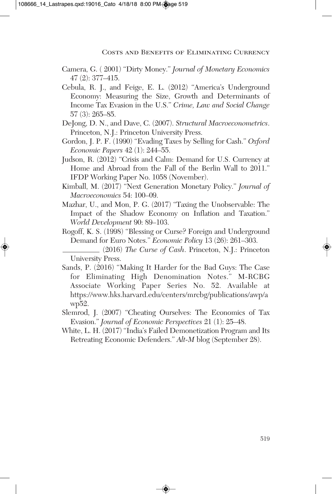- Camera, G. ( 2001) "Dirty Money." *Journal of Monetary Economics* 47 (2): 377–415.
- Cebula, R. J., and Feige, E. L. (2012) "America's Underground Economy: Measuring the Size, Growth and Determinants of Income Tax Evasion in the U.S." *Crime, Law and Social Change* 57 (3): 265–85.
- DeJong, D. N., and Dave, C. (2007). *Structural Macroeconometrics*. Princeton, N.J.: Princeton University Press.
- Gordon, J. P. F. (1990) "Evading Taxes by Selling for Cash." *Oxford Economic Papers* 42 (1): 244–55.
- Judson, R. (2012) "Crisis and Calm: Demand for U.S. Currency at Home and Abroad from the Fall of the Berlin Wall to 2011." IFDP Working Paper No. 1058 (November).
- Kimball, M. (2017) "Next Generation Monetary Policy." *Journal of Macroeconomics* 54: 100–09.
- Mazhar, U., and Mon, P. G. (2017) "Taxing the Unobservable: The Impact of the Shadow Economy on Inflation and Taxation." *World Development* 90: 89–103.
- Rogoff, K. S. (1998) "Blessing or Curse? Foreign and Underground Demand for Euro Notes." *Economic Policy* 13 (26): 261–303.
- (2016) *The Curse of Cash*. Princeton, N.J.: Princeton University Press.
- Sands, P. (2016) "Making It Harder for the Bad Guys: The Case for Eliminating High Denomination Notes." M-RCBG Associate Working Paper Series No. 52. Available at https://www.hks.harvard.edu/centers/mrcbg/publications/awp/a wp52.
- Slemrod, J. (2007) "Cheating Ourselves: The Economics of Tax Evasion." *Journal of Economic Perspectives* 21 (1): 25–48.
- White, L. H. (2017) "India's Failed Demonetization Program and Its Retreating Economic Defenders." *Alt-M* blog (September 28).